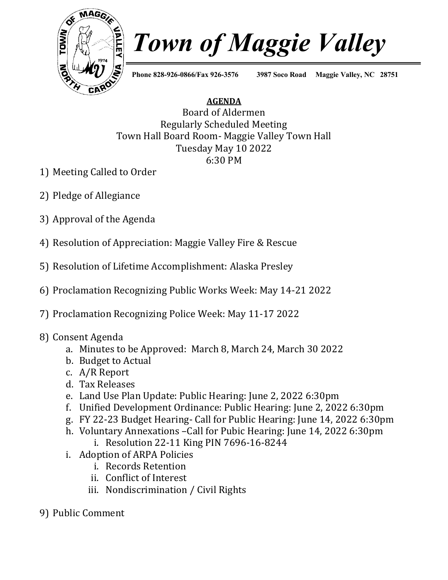

## *Town of Maggie Valley*

**Phone 828-926-0866/Fax 926-3576 3987 Soco Road Maggie Valley, NC 28751**

## **AGENDA**

Board of Aldermen Regularly Scheduled Meeting Town Hall Board Room- Maggie Valley Town Hall Tuesday May 10 2022 6:30 PM

- 1) Meeting Called to Order
- 2) Pledge of Allegiance
- 3) Approval of the Agenda
- 4) Resolution of Appreciation: Maggie Valley Fire & Rescue
- 5) Resolution of Lifetime Accomplishment: Alaska Presley
- 6) Proclamation Recognizing Public Works Week: May 14-21 2022
- 7) Proclamation Recognizing Police Week: May 11-17 2022
- 8) Consent Agenda
	- a. Minutes to be Approved: March 8, March 24, March 30 2022
	- b. Budget to Actual
	- c. A/R Report
	- d. Tax Releases
	- e. Land Use Plan Update: Public Hearing: June 2, 2022 6:30pm
	- f. Unified Development Ordinance: Public Hearing: June 2, 2022 6:30pm
	- g. FY 22-23 Budget Hearing- Call for Public Hearing: June 14, 2022 6:30pm
	- h. Voluntary Annexations –Call for Pubic Hearing: June 14, 2022 6:30pm
		- i. Resolution 22-11 King PIN 7696-16-8244
	- i. Adoption of ARPA Policies
		- i. Records Retention
		- ii. Conflict of Interest
		- iii. Nondiscrimination / Civil Rights
- 9) Public Comment